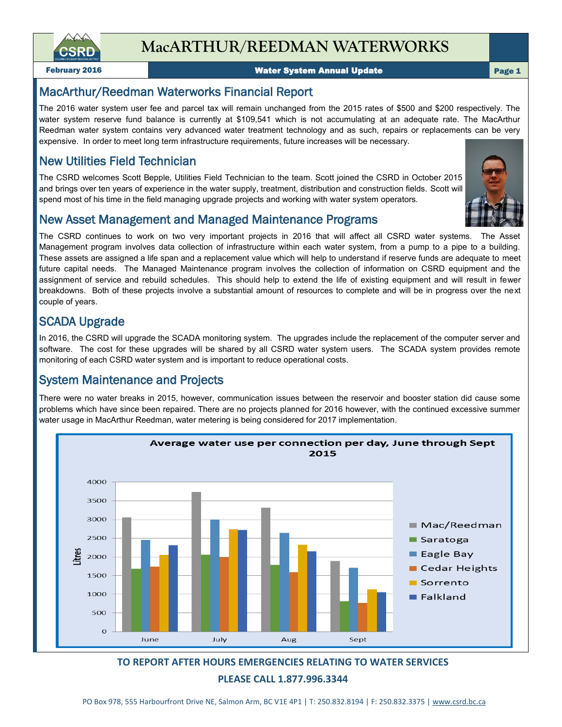

**MacARTHUR/REEDMAN WATERWORKS**

February 2016 Water System Annual Update

#### Page 1

### MacArthur/Reedman Waterworks Financial Report

The 2016 water system user fee and parcel tax will remain unchanged from the 2015 rates of \$500 and \$200 respectively. The water system reserve fund balance is currently at \$109,541 which is not accumulating at an adequate rate. The MacArthur Reedman water system contains very advanced water treatment technology and as such, repairs or replacements can be very expensive. In order to meet long term infrastructure requirements, future increases will be necessary.

### New Utilities Field Technician

The CSRD welcomes Scott Bepple, Utilities Field Technician to the team. Scott joined the CSRD in October 2015 and brings over ten years of experience in the water supply, treatment, distribution and construction fields. Scott will spend most of his time in the field managing upgrade projects and working with water system operators.



### New Asset Management and Managed Maintenance Programs

The CSRD continues to work on two very important projects in 2016 that will affect all CSRD water systems. The Asset Management program involves data collection of infrastructure within each water system, from a pump to a pipe to a building. These assets are assigned a life span and a replacement value which will help to understand if reserve funds are adequate to meet future capital needs. The Managed Maintenance program involves the collection of information on CSRD equipment and the assignment of service and rebuild schedules. This should help to extend the life of existing equipment and will result in fewer breakdowns. Both of these projects involve a substantial amount of resources to complete and will be in progress over the next couple of years.

### SCADA Upgrade

In 2016, the CSRD will upgrade the SCADA monitoring system. The upgrades include the replacement of the computer server and software. The cost for these upgrades will be shared by all CSRD water system users. The SCADA system provides remote monitoring of each CSRD water system and is important to reduce operational costs.

## System Maintenance and Projects

There were no water breaks in 2015, however, communication issues between the reservoir and booster station did cause some problems which have since been repaired. There are no projects planned for 2016 however, with the continued excessive summer water usage in MacArthur Reedman, water metering is being considered for 2017 implementation.



### **TO REPORT AFTER HOURS EMERGENCIES RELATING TO WATER SERVICES PLEASE CALL 1.877.996.3344**